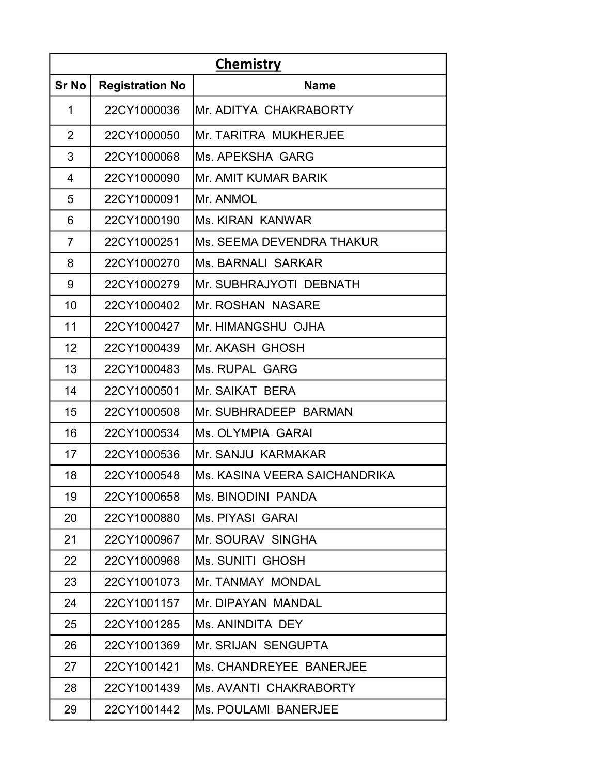| <b>Chemistry</b> |                        |                                  |
|------------------|------------------------|----------------------------------|
| <b>Sr No</b>     | <b>Registration No</b> | <b>Name</b>                      |
| 1                | 22CY1000036            | Mr. ADITYA CHAKRABORTY           |
| $\overline{2}$   | 22CY1000050            | Mr. TARITRA MUKHERJEE            |
| 3                | 22CY1000068            | Ms. APEKSHA GARG                 |
| 4                | 22CY1000090            | Mr. AMIT KUMAR BARIK             |
| 5                | 22CY1000091            | Mr. ANMOL                        |
| 6                | 22CY1000190            | Ms. KIRAN KANWAR                 |
| $\overline{7}$   | 22CY1000251            | <b>Ms. SEEMA DEVENDRA THAKUR</b> |
| 8                | 22CY1000270            | Ms. BARNALI SARKAR               |
| 9                | 22CY1000279            | Mr. SUBHRAJYOTI DEBNATH          |
| 10               | 22CY1000402            | Mr. ROSHAN NASARE                |
| 11               | 22CY1000427            | Mr. HIMANGSHU OJHA               |
| 12               | 22CY1000439            | Mr. AKASH GHOSH                  |
| 13               | 22CY1000483            | Ms. RUPAL GARG                   |
| 14               | 22CY1000501            | Mr. SAIKAT BERA                  |
| 15               | 22CY1000508            | Mr. SUBHRADEEP BARMAN            |
| 16               | 22CY1000534            | Ms. OLYMPIA GARAI                |
| 17               | 22CY1000536            | Mr. SANJU KARMAKAR               |
| 18               | 22CY1000548            | Ms. KASINA VEERA SAICHANDRIKA    |
| 19               | 22CY1000658            | Ms. BINODINI PANDA               |
| 20               | 22CY1000880            | Ms. PIYASI GARAI                 |
| 21               | 22CY1000967            | Mr. SOURAV SINGHA                |
| 22               | 22CY1000968            | Ms. SUNITI GHOSH                 |
| 23               | 22CY1001073            | Mr. TANMAY MONDAL                |
| 24               | 22CY1001157            | Mr. DIPAYAN MANDAL               |
| 25               | 22CY1001285            | Ms. ANINDITA DEY                 |
| 26               | 22CY1001369            | Mr. SRIJAN SENGUPTA              |
| 27               | 22CY1001421            | Ms. CHANDREYEE BANERJEE          |
| 28               | 22CY1001439            | Ms. AVANTI CHAKRABORTY           |
| 29               | 22CY1001442            | Ms. POULAMI BANERJEE             |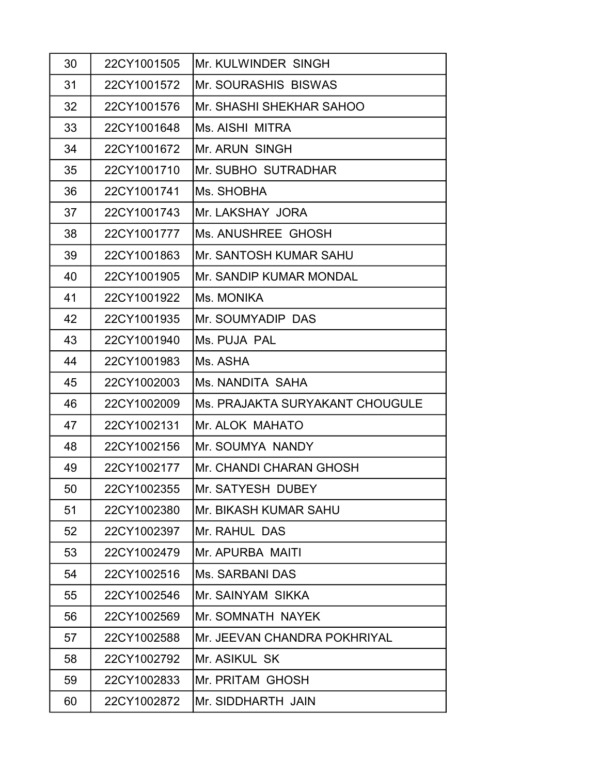| 30 | 22CY1001505 | Mr. KULWINDER SINGH             |
|----|-------------|---------------------------------|
| 31 | 22CY1001572 | <b>Mr. SOURASHIS BISWAS</b>     |
| 32 | 22CY1001576 | Mr. SHASHI SHEKHAR SAHOO        |
| 33 | 22CY1001648 | Ms. AISHI MITRA                 |
| 34 | 22CY1001672 | Mr. ARUN SINGH                  |
| 35 | 22CY1001710 | Mr. SUBHO SUTRADHAR             |
| 36 | 22CY1001741 | Ms. SHOBHA                      |
| 37 | 22CY1001743 | Mr. LAKSHAY JORA                |
| 38 | 22CY1001777 | Ms. ANUSHREE GHOSH              |
| 39 | 22CY1001863 | Mr. SANTOSH KUMAR SAHU          |
| 40 | 22CY1001905 | Mr. SANDIP KUMAR MONDAL         |
| 41 | 22CY1001922 | Ms. MONIKA                      |
| 42 | 22CY1001935 | Mr. SOUMYADIP DAS               |
| 43 | 22CY1001940 | Ms. PUJA PAL                    |
| 44 | 22CY1001983 | Ms. ASHA                        |
| 45 | 22CY1002003 | Ms. NANDITA SAHA                |
| 46 | 22CY1002009 | Ms. PRAJAKTA SURYAKANT CHOUGULE |
| 47 | 22CY1002131 | Mr. ALOK MAHATO                 |
| 48 | 22CY1002156 | Mr. SOUMYA NANDY                |
| 49 | 22CY1002177 | Mr. CHANDI CHARAN GHOSH         |
| 50 | 22CY1002355 | Mr. SATYESH DUBEY               |
| 51 | 22CY1002380 | Mr. BIKASH KUMAR SAHU           |
| 52 | 22CY1002397 | Mr. RAHUL DAS                   |
| 53 | 22CY1002479 | Mr. APURBA MAITI                |
| 54 | 22CY1002516 | Ms. SARBANI DAS                 |
| 55 | 22CY1002546 | Mr. SAINYAM SIKKA               |
| 56 | 22CY1002569 | Mr. SOMNATH NAYEK               |
| 57 | 22CY1002588 | Mr. JEEVAN CHANDRA POKHRIYAL    |
| 58 | 22CY1002792 | Mr. ASIKUL SK                   |
| 59 | 22CY1002833 | Mr. PRITAM GHOSH                |
| 60 | 22CY1002872 | Mr. SIDDHARTH JAIN              |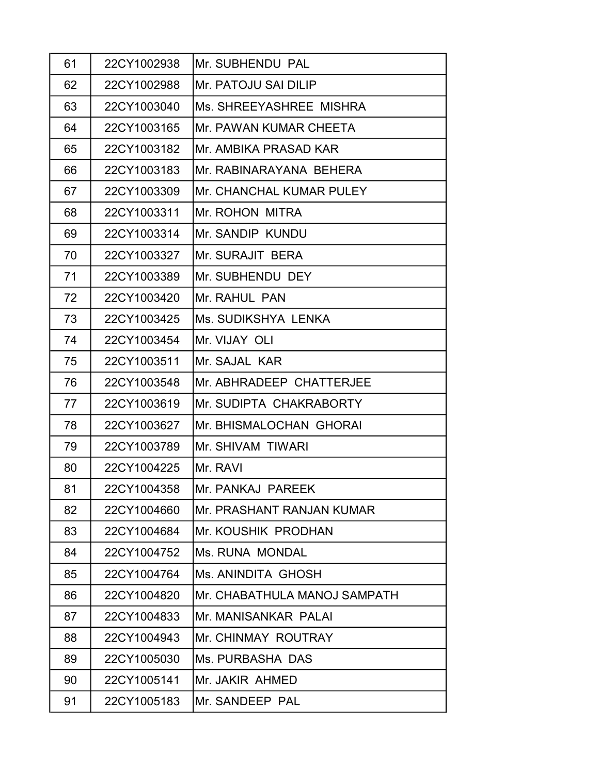| 61 | 22CY1002938 | Mr. SUBHENDU PAL             |
|----|-------------|------------------------------|
| 62 | 22CY1002988 | Mr. PATOJU SAI DILIP         |
| 63 | 22CY1003040 | Ms. SHREEYASHREE MISHRA      |
| 64 | 22CY1003165 | Mr. PAWAN KUMAR CHEETA       |
| 65 | 22CY1003182 | Mr. AMBIKA PRASAD KAR        |
| 66 | 22CY1003183 | Mr. RABINARAYANA BEHERA      |
| 67 | 22CY1003309 | Mr. CHANCHAL KUMAR PULEY     |
| 68 | 22CY1003311 | Mr. ROHON MITRA              |
| 69 | 22CY1003314 | Mr. SANDIP KUNDU             |
| 70 | 22CY1003327 | Mr. SURAJIT BERA             |
| 71 | 22CY1003389 | Mr. SUBHENDU DEY             |
| 72 | 22CY1003420 | Mr. RAHUL PAN                |
| 73 | 22CY1003425 | Ms. SUDIKSHYA LENKA          |
| 74 | 22CY1003454 | Mr. VIJAY OLI                |
| 75 | 22CY1003511 | Mr. SAJAL KAR                |
| 76 | 22CY1003548 | Mr. ABHRADEEP CHATTERJEE     |
| 77 | 22CY1003619 | Mr. SUDIPTA CHAKRABORTY      |
| 78 | 22CY1003627 | Mr. BHISMALOCHAN GHORAI      |
| 79 | 22CY1003789 | Mr. SHIVAM TIWARI            |
| 80 | 22CY1004225 | Mr. RAVI                     |
| 81 | 22CY1004358 | Mr. PANKAJ PAREEK            |
| 82 | 22CY1004660 | Mr. PRASHANT RANJAN KUMAR    |
| 83 | 22CY1004684 | Mr. KOUSHIK PRODHAN          |
| 84 | 22CY1004752 | Ms. RUNA MONDAL              |
| 85 | 22CY1004764 | Ms. ANINDITA GHOSH           |
| 86 | 22CY1004820 | Mr. CHABATHULA MANOJ SAMPATH |
| 87 | 22CY1004833 | Mr. MANISANKAR PALAI         |
| 88 | 22CY1004943 | Mr. CHINMAY ROUTRAY          |
| 89 | 22CY1005030 | Ms. PURBASHA DAS             |
| 90 | 22CY1005141 | Mr. JAKIR AHMED              |
| 91 | 22CY1005183 | Mr. SANDEEP PAL              |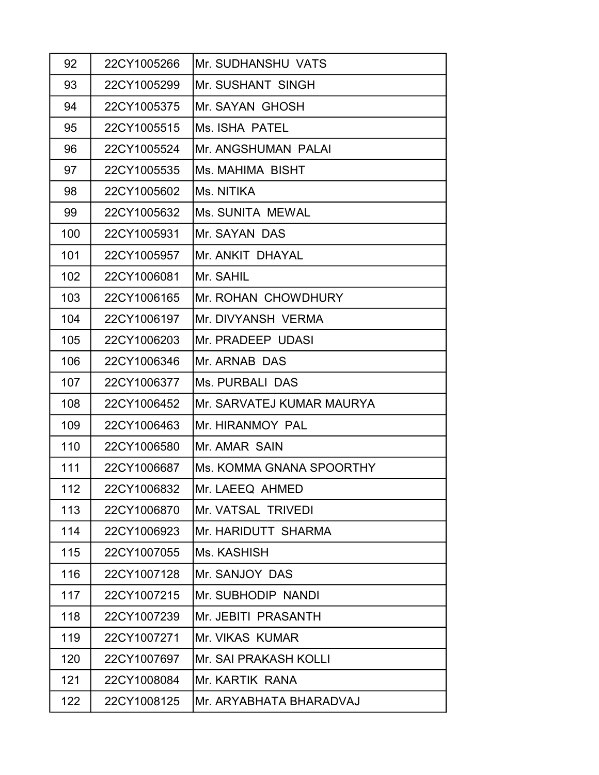| 92  | 22CY1005266 | Mr. SUDHANSHU VATS        |
|-----|-------------|---------------------------|
| 93  | 22CY1005299 | <b>Mr. SUSHANT SINGH</b>  |
| 94  | 22CY1005375 | Mr. SAYAN GHOSH           |
| 95  | 22CY1005515 | Ms. ISHA PATEL            |
| 96  | 22CY1005524 | Mr. ANGSHUMAN PALAI       |
| 97  | 22CY1005535 | Ms. MAHIMA BISHT          |
| 98  | 22CY1005602 | Ms. NITIKA                |
| 99  | 22CY1005632 | Ms. SUNITA MEWAL          |
| 100 | 22CY1005931 | Mr. SAYAN DAS             |
| 101 | 22CY1005957 | Mr. ANKIT DHAYAL          |
| 102 | 22CY1006081 | Mr. SAHIL                 |
| 103 | 22CY1006165 | Mr. ROHAN CHOWDHURY       |
| 104 | 22CY1006197 | Mr. DIVYANSH VERMA        |
| 105 | 22CY1006203 | Mr. PRADEEP UDASI         |
| 106 | 22CY1006346 | Mr. ARNAB DAS             |
| 107 | 22CY1006377 | Ms. PURBALI DAS           |
| 108 | 22CY1006452 | Mr. SARVATEJ KUMAR MAURYA |
| 109 | 22CY1006463 | Mr. HIRANMOY PAL          |
| 110 | 22CY1006580 | Mr. AMAR SAIN             |
| 111 | 22CY1006687 | Ms. KOMMA GNANA SPOORTHY  |
| 112 | 22CY1006832 | Mr. LAEEQ AHMED           |
| 113 | 22CY1006870 | Mr. VATSAL TRIVEDI        |
| 114 | 22CY1006923 | Mr. HARIDUTT SHARMA       |
| 115 | 22CY1007055 | Ms. KASHISH               |
| 116 | 22CY1007128 | Mr. SANJOY DAS            |
| 117 | 22CY1007215 | Mr. SUBHODIP NANDI        |
| 118 | 22CY1007239 | Mr. JEBITI PRASANTH       |
| 119 | 22CY1007271 | Mr. VIKAS KUMAR           |
| 120 | 22CY1007697 | Mr. SAI PRAKASH KOLLI     |
| 121 | 22CY1008084 | Mr. KARTIK RANA           |
| 122 | 22CY1008125 | Mr. ARYABHATA BHARADVAJ   |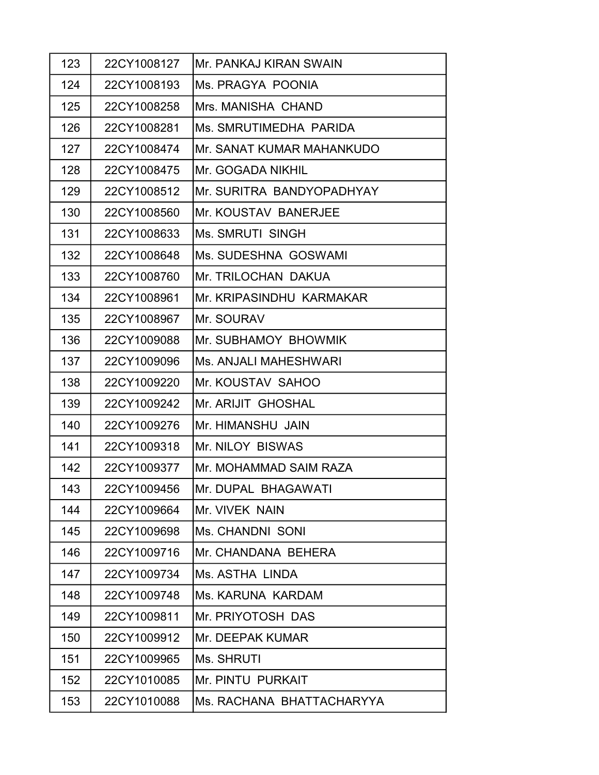| 123 | 22CY1008127 | IMr. PANKAJ KIRAN SWAIN     |
|-----|-------------|-----------------------------|
| 124 | 22CY1008193 | Ms. PRAGYA POONIA           |
| 125 | 22CY1008258 | Mrs. MANISHA CHAND          |
| 126 | 22CY1008281 | Ms. SMRUTIMEDHA PARIDA      |
| 127 | 22CY1008474 | Mr. SANAT KUMAR MAHANKUDO   |
| 128 | 22CY1008475 | Mr. GOGADA NIKHIL           |
| 129 | 22CY1008512 | Mr. SURITRA BANDYOPADHYAY   |
| 130 | 22CY1008560 | <b>Mr. KOUSTAV BANERJEE</b> |
| 131 | 22CY1008633 | <b>Ms. SMRUTI SINGH</b>     |
| 132 | 22CY1008648 | Ms. SUDESHNA GOSWAMI        |
| 133 | 22CY1008760 | Mr. TRILOCHAN DAKUA         |
| 134 | 22CY1008961 | Mr. KRIPASINDHU KARMAKAR    |
| 135 | 22CY1008967 | Mr. SOURAV                  |
| 136 | 22CY1009088 | Mr. SUBHAMOY BHOWMIK        |
| 137 | 22CY1009096 | Ms. ANJALI MAHESHWARI       |
| 138 | 22CY1009220 | Mr. KOUSTAV SAHOO           |
| 139 | 22CY1009242 | Mr. ARIJIT GHOSHAL          |
| 140 | 22CY1009276 | Mr. HIMANSHU JAIN           |
| 141 | 22CY1009318 | Mr. NILOY BISWAS            |
| 142 | 22CY1009377 | Mr. MOHAMMAD SAIM RAZA      |
| 143 | 22CY1009456 | Mr. DUPAL BHAGAWATI         |
| 144 | 22CY1009664 | Mr. VIVEK NAIN              |
| 145 | 22CY1009698 | <b>Ms. CHANDNI SONI</b>     |
| 146 | 22CY1009716 | Mr. CHANDANA BEHERA         |
| 147 | 22CY1009734 | Ms. ASTHA LINDA             |
| 148 | 22CY1009748 | <b>Ms. KARUNA KARDAM</b>    |
| 149 | 22CY1009811 | Mr. PRIYOTOSH DAS           |
| 150 | 22CY1009912 | Mr. DEEPAK KUMAR            |
| 151 | 22CY1009965 | Ms. SHRUTI                  |
| 152 | 22CY1010085 | Mr. PINTU PURKAIT           |
| 153 | 22CY1010088 | Ms. RACHANA BHATTACHARYYA   |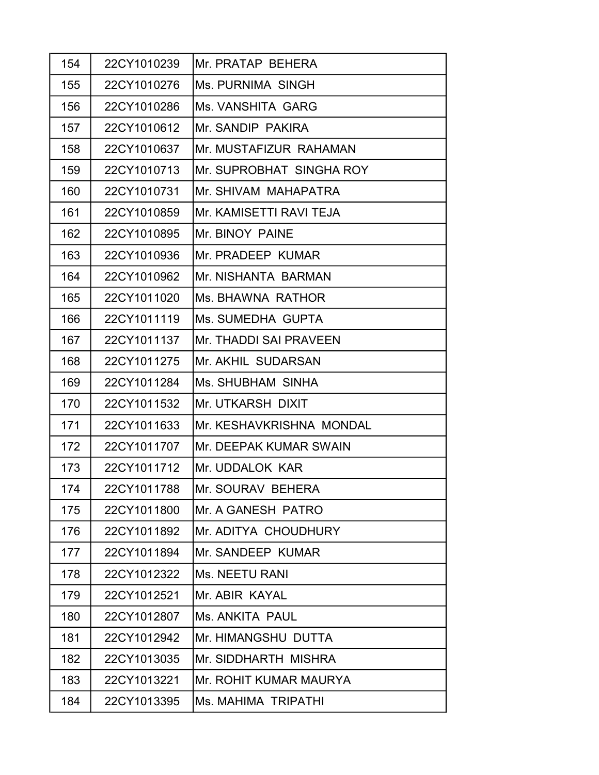| 154 | 22CY1010239 | Mr. PRATAP BEHERA        |
|-----|-------------|--------------------------|
| 155 | 22CY1010276 | Ms. PURNIMA SINGH        |
| 156 | 22CY1010286 | Ms. VANSHITA GARG        |
| 157 | 22CY1010612 | Mr. SANDIP PAKIRA        |
| 158 | 22CY1010637 | Mr. MUSTAFIZUR RAHAMAN   |
| 159 | 22CY1010713 | Mr. SUPROBHAT SINGHA ROY |
| 160 | 22CY1010731 | Mr. SHIVAM MAHAPATRA     |
| 161 | 22CY1010859 | Mr. KAMISETTI RAVI TEJA  |
| 162 | 22CY1010895 | Mr. BINOY PAINE          |
| 163 | 22CY1010936 | Mr. PRADEEP KUMAR        |
| 164 | 22CY1010962 | Mr. NISHANTA BARMAN      |
| 165 | 22CY1011020 | Ms. BHAWNA RATHOR        |
| 166 | 22CY1011119 | Ms. SUMEDHA GUPTA        |
| 167 | 22CY1011137 | Mr. THADDI SAI PRAVEEN   |
| 168 | 22CY1011275 | Mr. AKHIL SUDARSAN       |
| 169 | 22CY1011284 | Ms. SHUBHAM SINHA        |
| 170 | 22CY1011532 | Mr. UTKARSH DIXIT        |
| 171 | 22CY1011633 | Mr. KESHAVKRISHNA MONDAL |
| 172 | 22CY1011707 | Mr. DEEPAK KUMAR SWAIN   |
| 173 | 22CY1011712 | Mr. UDDALOK KAR          |
| 174 | 22CY1011788 | Mr. SOURAV BEHERA        |
| 175 | 22CY1011800 | Mr. A GANESH PATRO       |
| 176 | 22CY1011892 | Mr. ADITYA CHOUDHURY     |
| 177 | 22CY1011894 | Mr. SANDEEP KUMAR        |
| 178 | 22CY1012322 | <b>Ms. NEETU RANI</b>    |
| 179 | 22CY1012521 | Mr. ABIR KAYAL           |
| 180 | 22CY1012807 | Ms. ANKITA PAUL          |
| 181 | 22CY1012942 | Mr. HIMANGSHU DUTTA      |
| 182 | 22CY1013035 | Mr. SIDDHARTH MISHRA     |
| 183 | 22CY1013221 | Mr. ROHIT KUMAR MAURYA   |
| 184 | 22CY1013395 | Ms. MAHIMA TRIPATHI      |